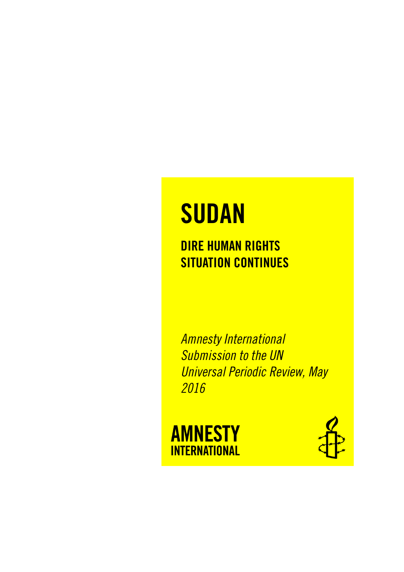# **SUDAN**

### DIRE HUMAN RIGHTS SITUATION CONTINUES

*Amnesty International Submission to the UN Universal Periodic Review, May 2016*



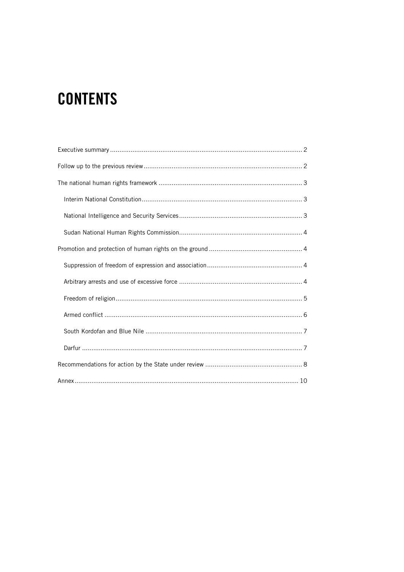# **CONTENTS**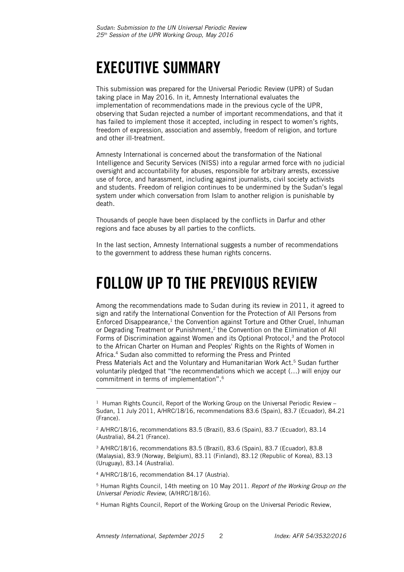## <span id="page-2-0"></span>EXECUTIVE SUMMARY

This submission was prepared for the Universal Periodic Review (UPR) of Sudan taking place in May 2016. In it, Amnesty International evaluates the implementation of recommendations made in the previous cycle of the UPR, observing that Sudan rejected a number of important recommendations, and that it has failed to implement those it accepted, including in respect to women's rights, freedom of expression, association and assembly, freedom of religion, and torture and other ill-treatment.

Amnesty International is concerned about the transformation of the National Intelligence and Security Services (NISS) into a regular armed force with no judicial oversight and accountability for abuses, responsible for arbitrary arrests, excessive use of force, and harassment, including against journalists, civil society activists and students. Freedom of religion continues to be undermined by the Sudan's legal system under which conversation from Islam to another religion is punishable by death.

Thousands of people have been displaced by the conflicts in Darfur and other regions and face abuses by all parties to the conflicts.

In the last section, Amnesty International suggests a number of recommendations to the government to address these human rights concerns.

### <span id="page-2-1"></span>FOLLOW UP TO THE PREVIOUS REVIEW

Among the recommendations made to Sudan during its review in 2011, it agreed to sign and ratify the International Convention for the Protection of All Persons from Enforced Disappearance,<sup>1</sup> the Convention against Torture and Other Cruel, Inhuman or Degrading Treatment or Punishment, 2 the Convention on the Elimination of All Forms of Discrimination against Women and its Optional Protocol, <sup>3</sup> and the Protocol to the African Charter on Human and Peoples' Rights on the Rights of Women in Africa. <sup>4</sup> Sudan also committed to reforming the Press and Printed Press Materials Act and the Voluntary and Humanitarian Work Act.<sup>5</sup> Sudan further voluntarily pledged that "the recommendations which we accept (…) will enjoy our commitment in terms of implementation". 6

l

 $1$  Human Rights Council, Report of the Working Group on the Universal Periodic Review  $-$ Sudan, 11 July 2011, A/HRC/18/16, recommendations 83.6 (Spain), 83.7 (Ecuador), 84.21 (France).

<sup>2</sup> A/HRC/18/16, recommendations 83.5 (Brazil), 83.6 (Spain), 83.7 (Ecuador), 83.14 (Australia), 84.21 (France).

<sup>3</sup> A/HRC/18/16, recommendations 83.5 (Brazil), 83.6 (Spain), 83.7 (Ecuador), 83.8 (Malaysia), 83.9 (Norway, Belgium), 83.11 (Finland), 83.12 (Republic of Korea), 83.13 (Uruguay), 83.14 (Australia).

<sup>4</sup> A/HRC/18/16, recommendation 84.17 (Austria).

<sup>5</sup> Human Rights Council, 14th meeting on 10 May 2011. *Report of the Working Group on the Universal Periodic Review*, (A/HRC/18/16).

<sup>6</sup> Human Rights Council, Report of the Working Group on the Universal Periodic Review,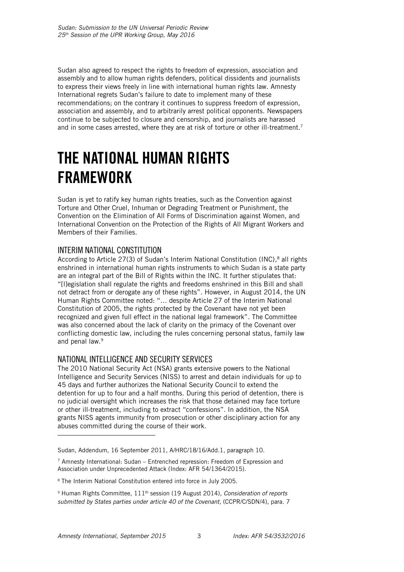Sudan also agreed to respect the rights to freedom of expression, association and assembly and to allow human rights defenders, political dissidents and journalists to express their views freely in line with international human rights law. Amnesty International regrets Sudan's failure to date to implement many of these recommendations; on the contrary it continues to suppress freedom of expression, association and assembly, and to arbitrarily arrest political opponents. Newspapers continue to be subjected to closure and censorship, and journalists are harassed and in some cases arrested, where they are at risk of torture or other ill-treatment.<sup>7</sup>

### <span id="page-3-0"></span>THE NATIONAL HUMAN RIGHTS FRAMEWORK

Sudan is yet to ratify key human rights treaties, such as the Convention against Torture and Other Cruel, Inhuman or Degrading Treatment or Punishment, the Convention on the Elimination of All Forms of Discrimination against Women, and International Convention on the Protection of the Rights of All Migrant Workers and Members of their Families.

#### <span id="page-3-1"></span>INTERIM NATIONAL CONSTITUTION

According to Article 27(3) of Sudan's Interim National Constitution (INC),<sup>8</sup> all rights enshrined in international human rights instruments to which Sudan is a state party are an integral part of the Bill of Rights within the INC. It further stipulates that: "[l]egislation shall regulate the rights and freedoms enshrined in this Bill and shall not detract from or derogate any of these rights". However, in August 2014, the UN Human Rights Committee noted: "… despite Article 27 of the Interim National Constitution of 2005, the rights protected by the Covenant have not yet been recognized and given full effect in the national legal framework". The Committee was also concerned about the lack of clarity on the primacy of the Covenant over conflicting domestic law, including the rules concerning personal status, family law and penal law. 9

#### <span id="page-3-2"></span>NATIONAL INTELLIGENCE AND SECURITY SERVICES

The 2010 National Security Act (NSA) grants extensive powers to the National Intelligence and Security Services (NISS) to arrest and detain individuals for up to 45 days and further authorizes the National Security Council to extend the detention for up to four and a half months. During this period of detention, there is no judicial oversight which increases the risk that those detained may face torture or other ill-treatment, including to extract "confessions". In addition, the NSA grants NISS agents immunity from prosecution or other disciplinary action for any abuses committed during the course of their work.

ł

Sudan, Addendum, 16 September 2011, A/HRC/18/16/Add.1, paragraph 10.

 $7$  Amnesty International: Sudan – Entrenched repression: Freedom of Expression and Association under Unprecedented Attack (Index: AFR 54/1364/2015).

<sup>8</sup> The Interim National Constitution entered into force in July 2005.

<sup>9</sup> Human Rights Committee, 111th session (19 August 2014), *Consideration of reports submitted by States parties under article 40 of the Covenant,* (CCPR/C/SDN/4), para. 7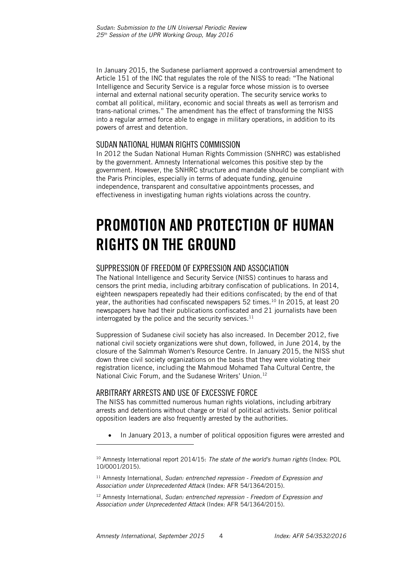In January 2015, the Sudanese parliament approved a controversial amendment to Article 151 of the INC that regulates the role of the NISS to read: "The National Intelligence and Security Service is a regular force whose mission is to oversee internal and external national security operation. The security service works to combat all political, military, economic and social threats as well as terrorism and trans-national crimes." The amendment has the effect of transforming the NISS into a regular armed force able to engage in military operations, in addition to its powers of arrest and detention.

#### <span id="page-4-0"></span>SUDAN NATIONAL HUMAN RIGHTS COMMISSION

In 2012 the Sudan National Human Rights Commission (SNHRC) was established by the government. Amnesty International welcomes this positive step by the government. However, the SNHRC structure and mandate should be compliant with the Paris Principles, especially in terms of adequate funding, genuine independence, transparent and consultative appointments processes, and effectiveness in investigating human rights violations across the country.

### <span id="page-4-1"></span>PROMOTION AND PROTECTION OF HUMAN RIGHTS ON THE GROUND

#### <span id="page-4-2"></span>SUPPRESSION OF FREEDOM OF EXPRESSION AND ASSOCIATION

The National Intelligence and Security Service (NISS) continues to harass and censors the print media, including arbitrary confiscation of publications. In 2014, eighteen newspapers repeatedly had their editions confiscated; by the end of that year, the authorities had confiscated newspapers  $52$  times.<sup>10</sup> In 2015, at least 20 newspapers have had their publications confiscated and 21 journalists have been interrogated by the police and the security services.<sup>11</sup>

Suppression of Sudanese civil society has also increased. In December 2012, five national civil society organizations were shut down, followed, in June 2014, by the closure of the Salmmah Women's Resource Centre. In January 2015, the NISS shut down three civil society organizations on the basis that they were violating their registration licence, including the Mahmoud Mohamed Taha Cultural Centre, the National Civic Forum, and the Sudanese Writers' Union.<sup>12</sup>

#### <span id="page-4-3"></span>ARBITRARY ARRESTS AND USE OF EXCESSIVE FORCE

The NISS has committed numerous human rights violations, including arbitrary arrests and detentions without charge or trial of political activists. Senior political opposition leaders are also frequently arrested by the authorities.

• In January 2013, a number of political opposition figures were arrested and

j

<sup>10</sup> Amnesty International report 2014/15: *The state of the world's human rights* (Index: POL 10/0001/2015).

<sup>11</sup> Amnesty International, *Sudan: entrenched repression - Freedom of Expression and Association under Unprecedented Attack* (Index: AFR 54/1364/2015).

<sup>12</sup> Amnesty International, *Sudan: entrenched repression - Freedom of Expression and Association under Unprecedented Attack* (Index: AFR 54/1364/2015).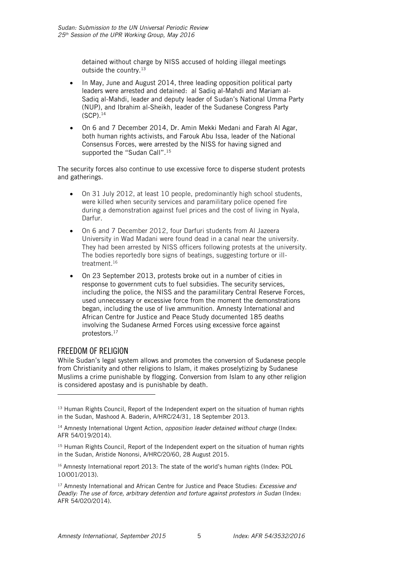detained without charge by NISS accused of holding illegal meetings outside the country.<sup>13</sup>

- In May, June and August 2014, three leading opposition political party leaders were arrested and detained: al Sadiq al-Mahdi and Mariam al-Sadiq al-Mahdi, leader and deputy leader of Sudan's National Umma Party (NUP), and Ibrahim al-Sheikh, leader of the Sudanese Congress Party (SCP).<sup>14</sup>
- On 6 and 7 December 2014, Dr. Amin Mekki Medani and Farah Al Agar, both human rights activists, and Farouk Abu Issa, leader of the National Consensus Forces, were arrested by the NISS for having signed and supported the "Sudan Call".<sup>15</sup>

The security forces also continue to use excessive force to disperse student protests and gatherings.

- On 31 July 2012, at least 10 people, predominantly high school students, were killed when security services and paramilitary police opened fire during a demonstration against fuel prices and the cost of living in Nyala, Darfur.
- On 6 and 7 December 2012, four Darfuri students from Al Jazeera University in Wad Madani were found dead in a canal near the university. They had been arrested by NISS officers following protests at the university. The bodies reportedly bore signs of beatings, suggesting torture or illtreatment. 16
- On 23 September 2013, protests broke out in a number of cities in response to government cuts to fuel subsidies. The security services, including the police, the NISS and the paramilitary Central Reserve Forces, used unnecessary or excessive force from the moment the demonstrations began, including the use of live ammunition. Amnesty International and African Centre for Justice and Peace Study documented 185 deaths involving the Sudanese Armed Forces using excessive force against protestors.<sup>17</sup>

#### <span id="page-5-0"></span>FREEDOM OF RELIGION

ł

While Sudan's legal system allows and promotes the conversion of Sudanese people from Christianity and other religions to Islam, it makes proselytizing by Sudanese Muslims a crime punishable by flogging. Conversion from Islam to any other religion is considered apostasy and is punishable by death.

<sup>&</sup>lt;sup>13</sup> Human Rights Council, Report of the Independent expert on the situation of human rights in the Sudan, Mashood A. Baderin, A/HRC/24/31, 18 September 2013.

<sup>14</sup> Amnesty International Urgent Action, *opposition leader detained without charge* (Index: AFR 54/019/2014).

<sup>&</sup>lt;sup>15</sup> Human Rights Council, Report of the Independent expert on the situation of human rights in the Sudan, Aristide Nononsi, A/HRC/20/60, 28 August 2015.

<sup>16</sup> Amnesty International report 2013: The state of the world's human rights (Index: POL 10/001/2013).

<sup>17</sup> Amnesty International and African Centre for Justice and Peace Studies: *Excessive and Deadly: The use of force, arbitrary detention and torture against protestors in Sudan* (Index: AFR 54/020/2014).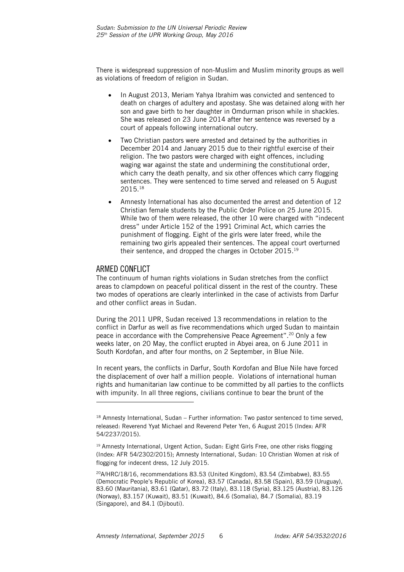There is widespread suppression of non-Muslim and Muslim minority groups as well as violations of freedom of religion in Sudan.

- In August 2013, Meriam Yahya Ibrahim was convicted and sentenced to death on charges of adultery and apostasy. She was detained along with her son and gave birth to her daughter in Omdurman prison while in shackles. She was released on 23 June 2014 after her sentence was reversed by a court of appeals following international outcry.
- Two Christian pastors were arrested and detained by the authorities in December 2014 and January 2015 due to their rightful exercise of their religion. The two pastors were charged with eight offences, including waging war against the state and undermining the constitutional order, which carry the death penalty, and six other offences which carry flogging sentences. They were sentenced to time served and released on 5 August 2015. 18
- Amnesty International has also documented the arrest and detention of 12 Christian female students by the Public Order Police on 25 June 2015. While two of them were released, the other 10 were charged with "indecent dress" under Article 152 of the 1991 Criminal Act, which carries the punishment of flogging. Eight of the girls were later freed, while the remaining two girls appealed their sentences. The appeal court overturned their sentence, and dropped the charges in October 2015. 19

#### <span id="page-6-0"></span>ARMED CONFLICT

1

The continuum of human rights violations in Sudan stretches from the conflict areas to clampdown on peaceful political dissent in the rest of the country. These two modes of operations are clearly interlinked in the case of activists from Darfur and other conflict areas in Sudan.

During the 2011 UPR, Sudan received 13 recommendations in relation to the conflict in Darfur as well as five recommendations which urged Sudan to maintain peace in accordance with the Comprehensive Peace Agreement".<sup>20</sup> Only a few weeks later, on 20 May, the conflict erupted in Abyei area, on 6 June 2011 in South Kordofan, and after four months, on 2 September, in Blue Nile.

In recent years, the conflicts in Darfur, South Kordofan and Blue Nile have forced the displacement of over half a million people. Violations of international human rights and humanitarian law continue to be committed by all parties to the conflicts with impunity. In all three regions, civilians continue to bear the brunt of the

 $18$  Amnesty International, Sudan – Further information: Two pastor sentenced to time served, released: Reverend Yyat Michael and Reverend Peter Yen, 6 August 2015 (Index: AFR 54/2237/2015).

<sup>&</sup>lt;sup>19</sup> Amnesty International, Urgent Action, Sudan: Eight Girls Free, one other risks flogging (Index: AFR 54/2302/2015); Amnesty International, Sudan: 10 Christian Women at risk of flogging for indecent dress, 12 July 2015.

<sup>20</sup>A/HRC/18/16, recommendations 83.53 (United Kingdom), 83.54 (Zimbabwe), 83.55 (Democratic People's Republic of Korea), 83.57 (Canada), 83.58 (Spain), 83.59 (Uruguay), 83.60 (Mauritania), 83.61 (Qatar), 83.72 (Italy), 83.118 (Syria), 83.125 (Austria), 83.126 (Norway), 83.157 (Kuwait), 83.51 (Kuwait), 84.6 (Somalia), 84.7 (Somalia), 83.19 (Singapore), and 84.1 (Djibouti).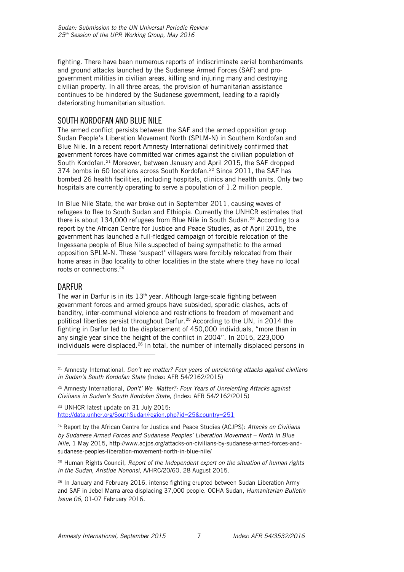fighting. There have been numerous reports of indiscriminate aerial bombardments and ground attacks launched by the Sudanese Armed Forces (SAF) and progovernment militias in civilian areas, killing and injuring many and destroying civilian property. In all three areas, the provision of humanitarian assistance continues to be hindered by the Sudanese government, leading to a rapidly deteriorating humanitarian situation.

#### <span id="page-7-0"></span>SOUTH KORDOFAN AND BLUE NILE

The armed conflict persists between the SAF and the armed opposition group Sudan People's Liberation Movement North (SPLM-N) in Southern Kordofan and Blue Nile. In a recent report Amnesty International definitively confirmed that government forces have committed war crimes against the civilian population of South Kordofan.<sup>21</sup> Moreover, between January and April 2015, the SAF dropped 374 bombs in 60 locations across South Kordofan.<sup>22</sup> Since 2011, the SAF has bombed 26 health facilities, including hospitals, clinics and health units. Only two hospitals are currently operating to serve a population of 1.2 million people.

In Blue Nile State, the war broke out in September 2011, causing waves of refugees to flee to South Sudan and Ethiopia. Currently the UNHCR estimates that there is about  $134,000$  refugees from Blue Nile in South Sudan.<sup>23</sup> According to a report by the African Centre for Justice and Peace Studies, as of April 2015, the government has launched a full-fledged campaign of forcible relocation of the Ingessana people of Blue Nile suspected of being sympathetic to the armed opposition SPLM-N. These "suspect" villagers were forcibly relocated from their home areas in Bao locality to other localities in the state where they have no local roots or connections. 24

#### <span id="page-7-1"></span>DARFUR

ł

The war in Darfur is in its  $13<sup>th</sup>$  year. Although large-scale fighting between government forces and armed groups have subsided, sporadic clashes, acts of banditry, inter-communal violence and restrictions to freedom of movement and political liberties persist throughout Darfur.<sup>25</sup> According to the UN, in 2014 the fighting in Darfur led to the displacement of 450,000 individuals, "more than in any single year since the height of the conflict in 2004". In 2015, 223,000 individuals were displaced.<sup>26</sup> In total, the number of internally displaced persons in

<sup>23</sup> UNHCR latest update on 31 July 2015: <http://data.unhcr.org/SouthSudan/region.php?id=25&country=251>

<sup>24</sup> Report by the African Centre for Justice and Peace Studies (ACJPS): *Attacks on Civilians by Sudanese Armed Forces and Sudanese Peoples' Liberation Movement – North in Blue Nile,* 1 May 2015, http://www.acjps.org/attacks-on-civilians-by-sudanese-armed-forces-andsudanese-peoples-liberation-movement-north-in-blue-nile/

<sup>25</sup> Human Rights Council, *Report of the Independent expert on the situation of human rights in the Sudan, Aristide Nononsi,* A/HRC/20/60, 28 August 2015.

<sup>21</sup> Amnesty International, *Don't we matter? Four years of unrelenting attacks against civilians in Sudan's South Kordofan State (*Index: AFR 54/2162/2015)

<sup>22</sup> Amnesty International, *Don't' We Matter?: Four Years of Unrelenting Attacks against Civilians in Sudan's South Kordofan State*, *(*Index: AFR 54/2162/2015)

 $26$  In January and February 2016, intense fighting erupted between Sudan Liberation Army and SAF in Jebel Marra area displacing 37,000 people. OCHA Sudan, *Humanitarian Bulletin Issue 06,* 01-07 February 2016.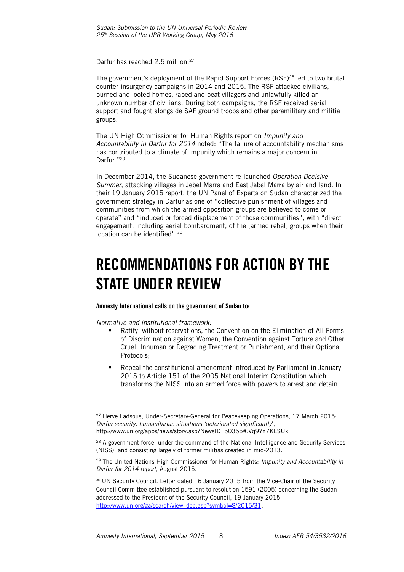Darfur has reached 2.5 million.<sup>27</sup>

The government's deployment of the Rapid Support Forces (RSF)<sup>28</sup> led to two brutal counter-insurgency campaigns in 2014 and 2015. The RSF attacked civilians, burned and looted homes, raped and beat villagers and unlawfully killed an unknown number of civilians. During both campaigns, the RSF received aerial support and fought alongside SAF ground troops and other paramilitary and militia groups.

The UN High Commissioner for Human Rights report on *Impunity and Accountability in Darfur for 2014* noted: "The failure of accountability mechanisms has contributed to a climate of impunity which remains a major concern in Darfur." 29

In December 2014, the Sudanese government re-launched *Operation Decisive Summer*, attacking villages in Jebel Marra and East Jebel Marra by air and land. In their 19 January 2015 report, the UN Panel of Experts on Sudan characterized the government strategy in Darfur as one of "collective punishment of villages and communities from which the armed opposition groups are believed to come or operate" and "induced or forced displacement of those communities", with "direct engagement, including aerial bombardment, of the [armed rebel] groups when their location can be identified".<sup>30</sup>

### <span id="page-8-0"></span>RECOMMENDATIONS FOR ACTION BY THE STATE UNDER REVIEW

Amnesty International calls on the government of Sudan to:

*Normative and institutional framework:* 

1

- Ratify, without reservations, the Convention on the Elimination of All Forms of Discrimination against Women, the Convention against Torture and Other Cruel, Inhuman or Degrading Treatment or Punishment, and their Optional Protocols;
- Repeal the constitutional amendment introduced by Parliament in January 2015 to Article 151 of the 2005 National Interim Constitution which transforms the NISS into an armed force with powers to arrest and detain.

<sup>27</sup> Herve Ladsous, Under-Secretary-General for Peacekeeping Operations, 17 March 2015: *Darfur security, humanitarian situations 'deteriorated significantly*', http://www.un.org/apps/news/story.asp?NewsID=50355#.Vq9YY7KLSUk

<sup>&</sup>lt;sup>28</sup> A government force, under the command of the National Intelligence and Security Services (NISS), and consisting largely of former militias created in mid-2013.

<sup>29</sup> The United Nations High Commissioner for Human Rights: *Impunity and Accountability in Darfur for 2014 report*, August 2015.

<sup>&</sup>lt;sup>30</sup> UN Security Council. Letter dated 16 January 2015 from the Vice-Chair of the Security Council Committee established pursuant to resolution 1591 (2005) concerning the Sudan addressed to the President of the Security Council, 19 January 2015, [http://www.un.org/ga/search/view\\_doc.asp?symbol=S/2015/31.](http://www.un.org/ga/search/view_doc.asp?symbol=S/2015/31)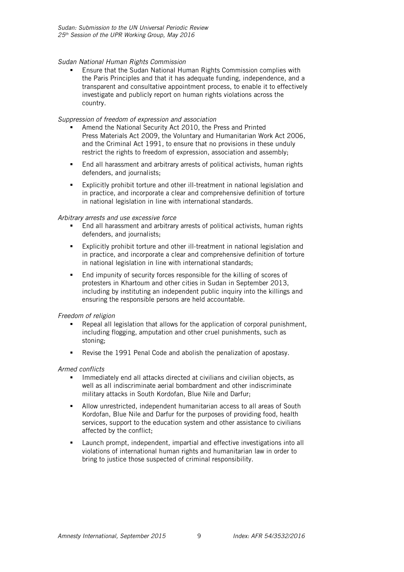#### *Sudan National Human Rights Commission*

 Ensure that the Sudan National Human Rights Commission complies with the Paris Principles and that it has adequate funding, independence, and a transparent and consultative appointment process, to enable it to effectively investigate and publicly report on human rights violations across the country.

#### *Suppression of freedom of expression and association*

- Amend the National Security Act 2010, the Press and Printed Press Materials Act 2009, the Voluntary and Humanitarian Work Act 2006, and the Criminal Act 1991, to ensure that no provisions in these unduly restrict the rights to freedom of expression, association and assembly;
- End all harassment and arbitrary arrests of political activists, human rights defenders, and journalists;
- Explicitly prohibit torture and other ill-treatment in national legislation and in practice, and incorporate a clear and comprehensive definition of torture in national legislation in line with international standards.

#### *Arbitrary arrests and use excessive force*

- End all harassment and arbitrary arrests of political activists, human rights defenders, and journalists;
- Explicitly prohibit torture and other ill-treatment in national legislation and in practice, and incorporate a clear and comprehensive definition of torture in national legislation in line with international standards;
- End impunity of security forces responsible for the killing of scores of protesters in Khartoum and other cities in Sudan in September 2013, including by instituting an independent public inquiry into the killings and ensuring the responsible persons are held accountable.

#### *Freedom of religion*

- Repeal all legislation that allows for the application of corporal punishment, including flogging, amputation and other cruel punishments, such as stoning;
- Revise the 1991 Penal Code and abolish the penalization of apostasy.

#### *Armed conflicts*

- Immediately end all attacks directed at civilians and civilian objects, as well as all indiscriminate aerial bombardment and other indiscriminate military attacks in South Kordofan, Blue Nile and Darfur;
- Allow unrestricted, independent humanitarian access to all areas of South Kordofan, Blue Nile and Darfur for the purposes of providing food, health services, support to the education system and other assistance to civilians affected by the conflict;
- Launch prompt, independent, impartial and effective investigations into all violations of international human rights and humanitarian law in order to bring to justice those suspected of criminal responsibility.